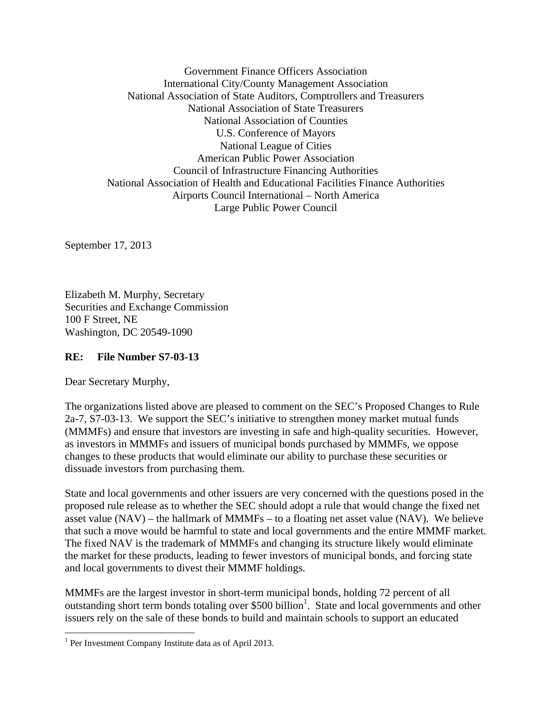Government Finance Officers Association International City/County Management Association National Association of State Auditors, Comptrollers and Treasurers National Association of State Treasurers National Association of Counties U.S. Conference of Mayors National League of Cities American Public Power Association Council of Infrastructure Financing Authorities National Association of Health and Educational Facilities Finance Authorities Airports Council International – North America Large Public Power Council

September 17, 2013

Elizabeth M. Murphy, Secretary Securities and Exchange Commission 100 F Street, NE Washington, DC 20549-1090

## **RE: File Number S7-03-13**

Dear Secretary Murphy,

 $\overline{a}$ 

The organizations listed above are pleased to comment on the SEC's Proposed Changes to Rule 2a-7, S7-03-13. We support the SEC's initiative to strengthen money market mutual funds (MMMFs) and ensure that investors are investing in safe and high-quality securities. However, as investors in MMMFs and issuers of municipal bonds purchased by MMMFs, we oppose changes to these products that would eliminate our ability to purchase these securities or dissuade investors from purchasing them.

State and local governments and other issuers are very concerned with the questions posed in the proposed rule release as to whether the SEC should adopt a rule that would change the fixed net asset value (NAV) – the hallmark of MMMFs – to a floating net asset value (NAV). We believe that such a move would be harmful to state and local governments and the entire MMMF market. The fixed NAV is the trademark of MMMFs and changing its structure likely would eliminate the market for these products, leading to fewer investors of municipal bonds, and forcing state and local governments to divest their MMMF holdings.

MMMFs are the largest investor in short-term municipal bonds, holding 72 percent of all outstanding short term bonds totaling over \$500 billion<sup>1</sup>. State and local governments and other issuers rely on the sale of these bonds to build and maintain schools to support an educated

<sup>&</sup>lt;sup>1</sup> Per Investment Company Institute data as of April 2013.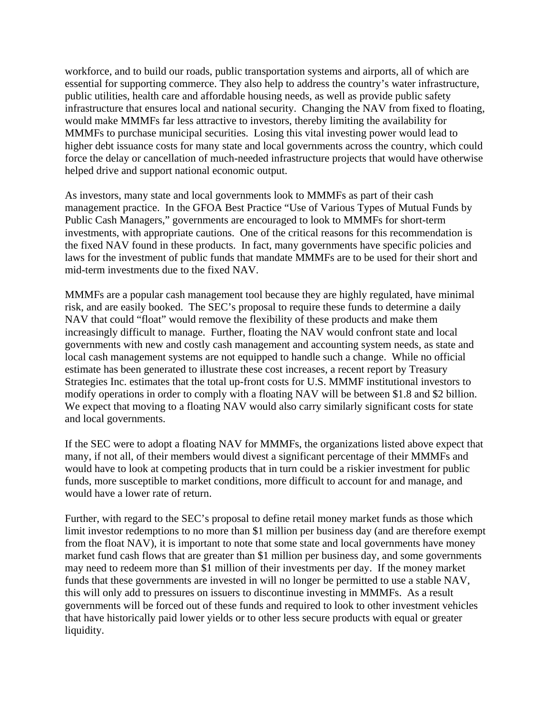workforce, and to build our roads, public transportation systems and airports, all of which are essential for supporting commerce. They also help to address the country's water infrastructure, public utilities, health care and affordable housing needs, as well as provide public safety infrastructure that ensures local and national security. Changing the NAV from fixed to floating, would make MMMFs far less attractive to investors, thereby limiting the availability for MMMFs to purchase municipal securities. Losing this vital investing power would lead to higher debt issuance costs for many state and local governments across the country, which could force the delay or cancellation of much-needed infrastructure projects that would have otherwise helped drive and support national economic output.

As investors, many state and local governments look to MMMFs as part of their cash management practice. In the GFOA Best Practice "Use of Various Types of Mutual Funds by Public Cash Managers," governments are encouraged to look to MMMFs for short-term investments, with appropriate cautions. One of the critical reasons for this recommendation is the fixed NAV found in these products. In fact, many governments have specific policies and laws for the investment of public funds that mandate MMMFs are to be used for their short and mid-term investments due to the fixed NAV.

MMMFs are a popular cash management tool because they are highly regulated, have minimal risk, and are easily booked. The SEC's proposal to require these funds to determine a daily NAV that could "float" would remove the flexibility of these products and make them increasingly difficult to manage. Further, floating the NAV would confront state and local governments with new and costly cash management and accounting system needs, as state and local cash management systems are not equipped to handle such a change. While no official estimate has been generated to illustrate these cost increases, a recent report by Treasury Strategies Inc. estimates that the total up-front costs for U.S. MMMF institutional investors to modify operations in order to comply with a floating NAV will be between \$1.8 and \$2 billion. We expect that moving to a floating NAV would also carry similarly significant costs for state and local governments.

If the SEC were to adopt a floating NAV for MMMFs, the organizations listed above expect that many, if not all, of their members would divest a significant percentage of their MMMFs and would have to look at competing products that in turn could be a riskier investment for public funds, more susceptible to market conditions, more difficult to account for and manage, and would have a lower rate of return.

Further, with regard to the SEC's proposal to define retail money market funds as those which limit investor redemptions to no more than \$1 million per business day (and are therefore exempt from the float NAV), it is important to note that some state and local governments have money market fund cash flows that are greater than \$1 million per business day, and some governments may need to redeem more than \$1 million of their investments per day. If the money market funds that these governments are invested in will no longer be permitted to use a stable NAV, this will only add to pressures on issuers to discontinue investing in MMMFs. As a result governments will be forced out of these funds and required to look to other investment vehicles that have historically paid lower yields or to other less secure products with equal or greater liquidity.